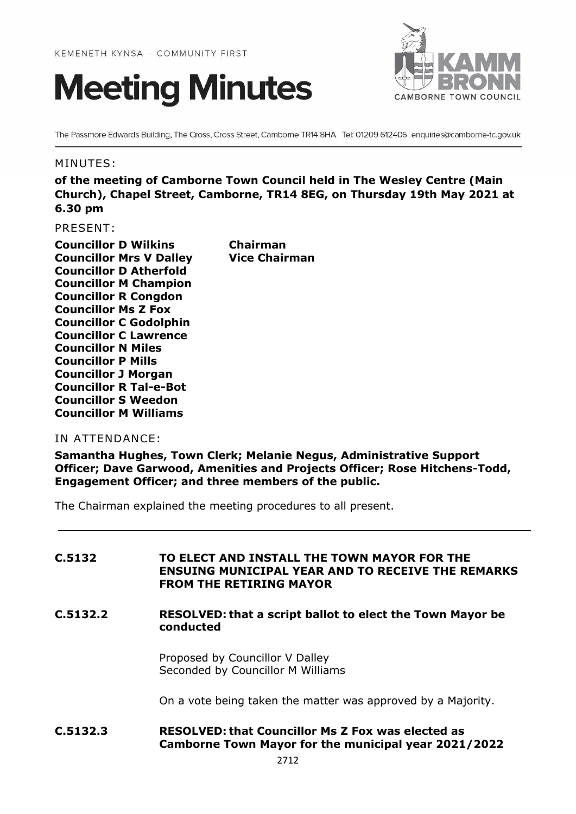



The Passmore Edwards Building, The Cross, Cross Street, Camborne TR14 8HA Tel: 01209 612406 enquiries@camborne-tc.gov.uk

### MINUTES:

**of the meeting of Camborne Town Council held in The Wesley Centre (Main Church), Chapel Street, Camborne, TR14 8EG, on Thursday 19th May 2021 at 6.30 pm**

PRESENT:

**Councillor D Wilkins Chairman Councillor Mrs V Dalley Vice Chairman Councillor D Atherfold Councillor M Champion Councillor R Congdon Councillor Ms Z Fox Councillor C Godolphin Councillor C Lawrence Councillor N Miles Councillor P Mills Councillor J Morgan Councillor R Tal-e-Bot Councillor S Weedon Councillor M Williams**

### IN ATTENDANCE:

**Samantha Hughes, Town Clerk; Melanie Negus, Administrative Support Officer; Dave Garwood, Amenities and Projects Officer; Rose Hitchens-Todd, Engagement Officer; and three members of the public.**

The Chairman explained the meeting procedures to all present.

| C.5132 | TO ELECT AND INSTALL THE TOWN MAYOR FOR THE              |
|--------|----------------------------------------------------------|
|        | <b>ENSUING MUNICIPAL YEAR AND TO RECEIVE THE REMARKS</b> |
|        | <b>FROM THE RETIRING MAYOR</b>                           |

### **C.5132.2 RESOLVED: that a script ballot to elect the Town Mayor be conducted**

Proposed by Councillor V Dalley Seconded by Councillor M Williams

On a vote being taken the matter was approved by a Majority.

**C.5132.3 RESOLVED: that Councillor Ms Z Fox was elected as Camborne Town Mayor for the municipal year 2021/2022**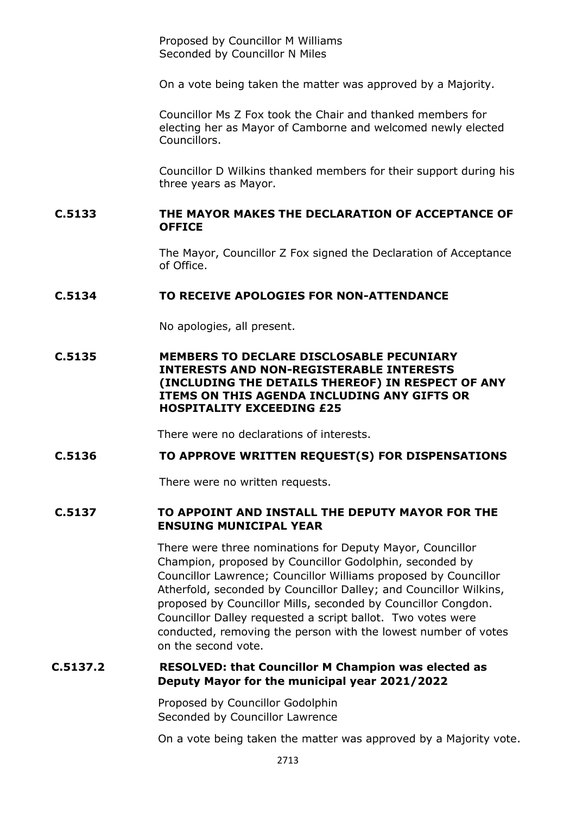Proposed by Councillor M Williams Seconded by Councillor N Miles

On a vote being taken the matter was approved by a Majority.

Councillor Ms Z Fox took the Chair and thanked members for electing her as Mayor of Camborne and welcomed newly elected Councillors.

Councillor D Wilkins thanked members for their support during his three years as Mayor.

### **C.5133 THE MAYOR MAKES THE DECLARATION OF ACCEPTANCE OF OFFICE**

The Mayor, Councillor Z Fox signed the Declaration of Acceptance of Office.

#### **C.5134 TO RECEIVE APOLOGIES FOR NON-ATTENDANCE**

No apologies, all present.

### **C.5135 MEMBERS TO DECLARE DISCLOSABLE PECUNIARY INTERESTS AND NON-REGISTERABLE INTERESTS (INCLUDING THE DETAILS THEREOF) IN RESPECT OF ANY ITEMS ON THIS AGENDA INCLUDING ANY GIFTS OR HOSPITALITY EXCEEDING £25**

There were no declarations of interests.

#### **C.5136 TO APPROVE WRITTEN REQUEST(S) FOR DISPENSATIONS**

There were no written requests.

### **C.5137 TO APPOINT AND INSTALL THE DEPUTY MAYOR FOR THE ENSUING MUNICIPAL YEAR**

There were three nominations for Deputy Mayor, Councillor Champion, proposed by Councillor Godolphin, seconded by Councillor Lawrence; Councillor Williams proposed by Councillor Atherfold, seconded by Councillor Dalley; and Councillor Wilkins, proposed by Councillor Mills, seconded by Councillor Congdon. Councillor Dalley requested a script ballot. Two votes were conducted, removing the person with the lowest number of votes on the second vote.

### **C.5137.2 RESOLVED: that Councillor M Champion was elected as Deputy Mayor for the municipal year 2021/2022**

 Proposed by Councillor Godolphin Seconded by Councillor Lawrence

On a vote being taken the matter was approved by a Majority vote.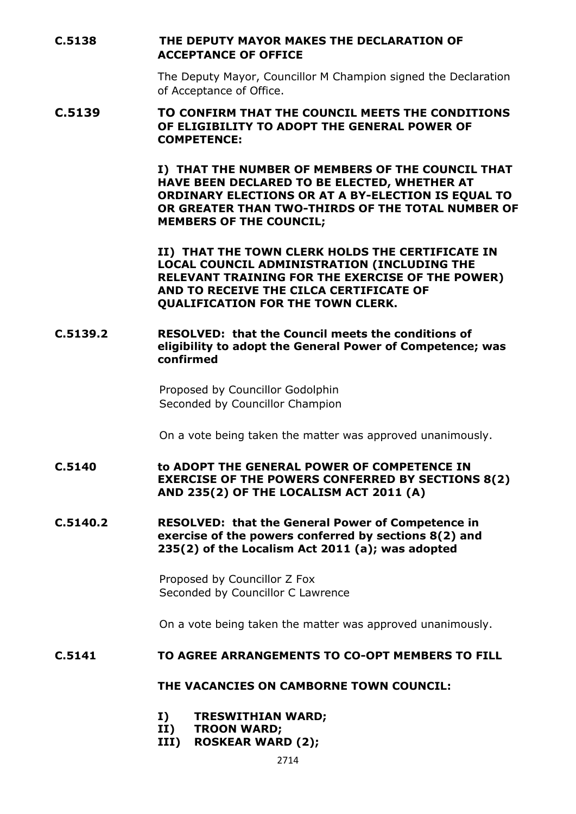**C.5138 THE DEPUTY MAYOR MAKES THE DECLARATION OF ACCEPTANCE OF OFFICE**

> The Deputy Mayor, Councillor M Champion signed the Declaration of Acceptance of Office.

### **C.5139 TO CONFIRM THAT THE COUNCIL MEETS THE CONDITIONS OF ELIGIBILITY TO ADOPT THE GENERAL POWER OF COMPETENCE:**

**I) THAT THE NUMBER OF MEMBERS OF THE COUNCIL THAT HAVE BEEN DECLARED TO BE ELECTED, WHETHER AT ORDINARY ELECTIONS OR AT A BY-ELECTION IS EQUAL TO OR GREATER THAN TWO-THIRDS OF THE TOTAL NUMBER OF MEMBERS OF THE COUNCIL;**

**II) THAT THE TOWN CLERK HOLDS THE CERTIFICATE IN LOCAL COUNCIL ADMINISTRATION (INCLUDING THE RELEVANT TRAINING FOR THE EXERCISE OF THE POWER) AND TO RECEIVE THE CILCA CERTIFICATE OF QUALIFICATION FOR THE TOWN CLERK.**

### **C.5139.2 RESOLVED: that the Council meets the conditions of eligibility to adopt the General Power of Competence; was confirmed**

Proposed by Councillor Godolphin Seconded by Councillor Champion

On a vote being taken the matter was approved unanimously.

**C.5140 to ADOPT THE GENERAL POWER OF COMPETENCE IN EXERCISE OF THE POWERS CONFERRED BY SECTIONS 8(2) AND 235(2) OF THE LOCALISM ACT 2011 (A)**

**C.5140.2 RESOLVED: that the General Power of Competence in exercise of the powers conferred by sections 8(2) and 235(2) of the Localism Act 2011 (a); was adopted**

> Proposed by Councillor Z Fox Seconded by Councillor C Lawrence

On a vote being taken the matter was approved unanimously.

#### **C.5141 TO AGREE ARRANGEMENTS TO CO-OPT MEMBERS TO FILL**

#### **THE VACANCIES ON CAMBORNE TOWN COUNCIL:**

- **I) TRESWITHIAN WARD;**
- **II) TROON WARD;**
- **III) ROSKEAR WARD (2);**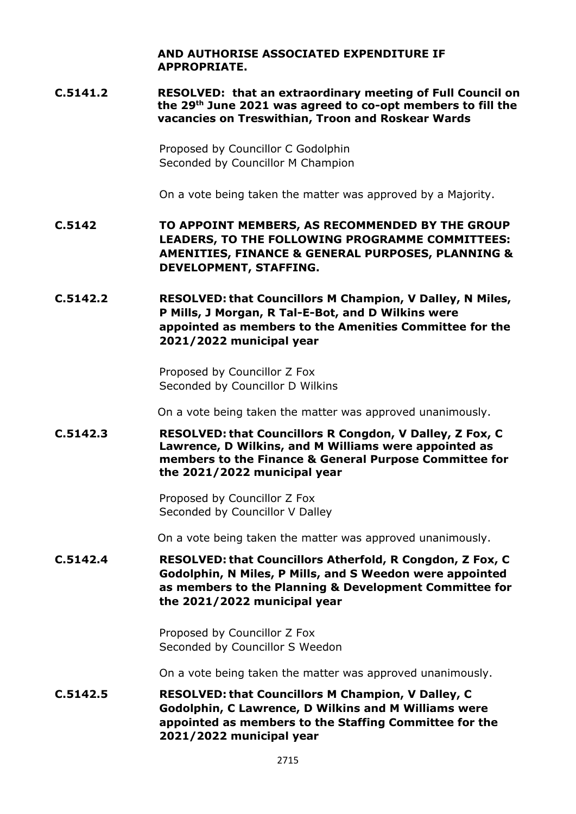**AND AUTHORISE ASSOCIATED EXPENDITURE IF APPROPRIATE.**

**C.5141.2 RESOLVED: that an extraordinary meeting of Full Council on the 29th June 2021 was agreed to co-opt members to fill the vacancies on Treswithian, Troon and Roskear Wards**

> Proposed by Councillor C Godolphin Seconded by Councillor M Champion

On a vote being taken the matter was approved by a Majority.

- **C.5142 TO APPOINT MEMBERS, AS RECOMMENDED BY THE GROUP LEADERS, TO THE FOLLOWING PROGRAMME COMMITTEES: AMENITIES, FINANCE & GENERAL PURPOSES, PLANNING & DEVELOPMENT, STAFFING.**
- **C.5142.2 RESOLVED: that Councillors M Champion, V Dalley, N Miles, P Mills, J Morgan, R Tal-E-Bot, and D Wilkins were appointed as members to the Amenities Committee for the 2021/2022 municipal year**

Proposed by Councillor Z Fox Seconded by Councillor D Wilkins

On a vote being taken the matter was approved unanimously.

**C.5142.3 RESOLVED: that Councillors R Congdon, V Dalley, Z Fox, C Lawrence, D Wilkins, and M Williams were appointed as members to the Finance & General Purpose Committee for the 2021/2022 municipal year**

> Proposed by Councillor Z Fox Seconded by Councillor V Dalley

On a vote being taken the matter was approved unanimously.

**C.5142.4 RESOLVED: that Councillors Atherfold, R Congdon, Z Fox, C Godolphin, N Miles, P Mills, and S Weedon were appointed as members to the Planning & Development Committee for the 2021/2022 municipal year**

> Proposed by Councillor Z Fox Seconded by Councillor S Weedon

On a vote being taken the matter was approved unanimously.

**C.5142.5 RESOLVED: that Councillors M Champion, V Dalley, C Godolphin, C Lawrence, D Wilkins and M Williams were appointed as members to the Staffing Committee for the 2021/2022 municipal year**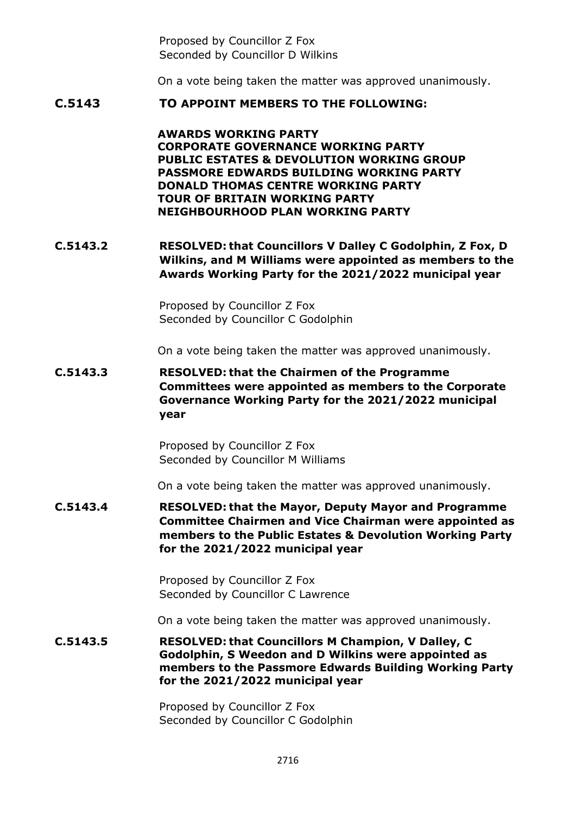Proposed by Councillor Z Fox Seconded by Councillor D Wilkins

On a vote being taken the matter was approved unanimously.

### **C.5143 TO APPOINT MEMBERS TO THE FOLLOWING:**

**AWARDS WORKING PARTY CORPORATE GOVERNANCE WORKING PARTY PUBLIC ESTATES & DEVOLUTION WORKING GROUP PASSMORE EDWARDS BUILDING WORKING PARTY DONALD THOMAS CENTRE WORKING PARTY TOUR OF BRITAIN WORKING PARTY NEIGHBOURHOOD PLAN WORKING PARTY**

**C.5143.2 RESOLVED: that Councillors V Dalley C Godolphin, Z Fox, D Wilkins, and M Williams were appointed as members to the Awards Working Party for the 2021/2022 municipal year**

> Proposed by Councillor Z Fox Seconded by Councillor C Godolphin

On a vote being taken the matter was approved unanimously.

**C.5143.3 RESOLVED: that the Chairmen of the Programme Committees were appointed as members to the Corporate Governance Working Party for the 2021/2022 municipal year**

> Proposed by Councillor Z Fox Seconded by Councillor M Williams

On a vote being taken the matter was approved unanimously.

**C.5143.4 RESOLVED: that the Mayor, Deputy Mayor and Programme Committee Chairmen and Vice Chairman were appointed as members to the Public Estates & Devolution Working Party for the 2021/2022 municipal year**

> Proposed by Councillor Z Fox Seconded by Councillor C Lawrence

On a vote being taken the matter was approved unanimously.

**C.5143.5 RESOLVED: that Councillors M Champion, V Dalley, C Godolphin, S Weedon and D Wilkins were appointed as members to the Passmore Edwards Building Working Party for the 2021/2022 municipal year**

> Proposed by Councillor Z Fox Seconded by Councillor C Godolphin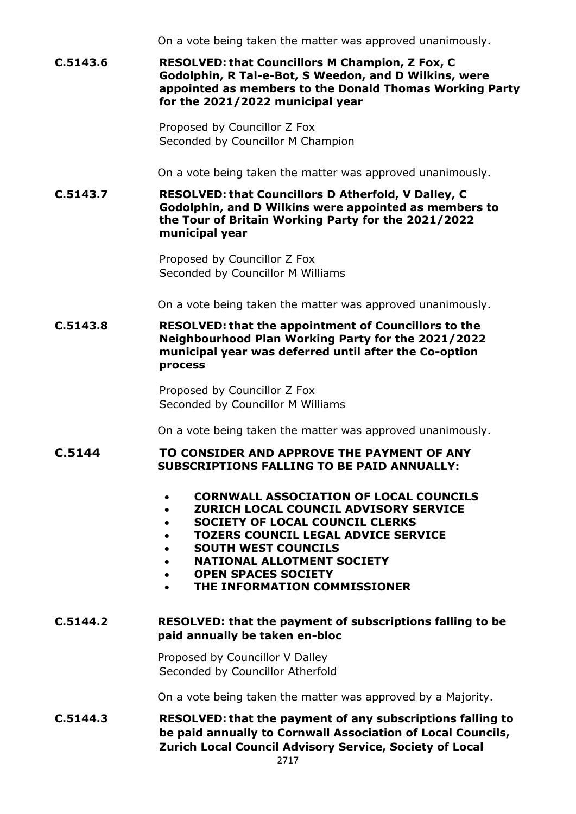On a vote being taken the matter was approved unanimously.

**C.5143.6 RESOLVED: that Councillors M Champion, Z Fox, C Godolphin, R Tal-e-Bot, S Weedon, and D Wilkins, were appointed as members to the Donald Thomas Working Party for the 2021/2022 municipal year**

> Proposed by Councillor Z Fox Seconded by Councillor M Champion

On a vote being taken the matter was approved unanimously.

**C.5143.7 RESOLVED: that Councillors D Atherfold, V Dalley, C Godolphin, and D Wilkins were appointed as members to the Tour of Britain Working Party for the 2021/2022 municipal year**

> Proposed by Councillor Z Fox Seconded by Councillor M Williams

On a vote being taken the matter was approved unanimously.

**C.5143.8 RESOLVED: that the appointment of Councillors to the Neighbourhood Plan Working Party for the 2021/2022 municipal year was deferred until after the Co-option process**

> Proposed by Councillor Z Fox Seconded by Councillor M Williams

On a vote being taken the matter was approved unanimously.

# **C.5144 TO CONSIDER AND APPROVE THE PAYMENT OF ANY SUBSCRIPTIONS FALLING TO BE PAID ANNUALLY:**

- **CORNWALL ASSOCIATION OF LOCAL COUNCILS**
- **ZURICH LOCAL COUNCIL ADVISORY SERVICE**
- **SOCIETY OF LOCAL COUNCIL CLERKS**
- **TOZERS COUNCIL LEGAL ADVICE SERVICE**
- **SOUTH WEST COUNCILS**
- **NATIONAL ALLOTMENT SOCIETY**
- **OPEN SPACES SOCIETY**
- **THE INFORMATION COMMISSIONER**

### **C.5144.2 RESOLVED: that the payment of subscriptions falling to be paid annually be taken en-bloc**

Proposed by Councillor V Dalley Seconded by Councillor Atherfold

On a vote being taken the matter was approved by a Majority.

**C.5144.3 RESOLVED: that the payment of any subscriptions falling to be paid annually to Cornwall Association of Local Councils, Zurich Local Council Advisory Service, Society of Local**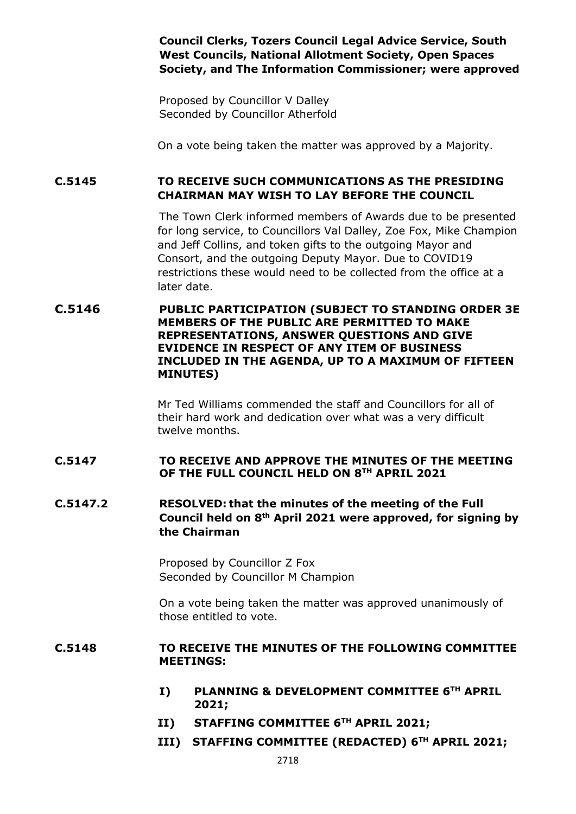**Council Clerks, Tozers Council Legal Advice Service, South West Councils, National Allotment Society, Open Spaces Society, and The Information Commissioner; were approved**

Proposed by Councillor V Dalley Seconded by Councillor Atherfold

On a vote being taken the matter was approved by a Majority.

**C.5145 TO RECEIVE SUCH COMMUNICATIONS AS THE PRESIDING CHAIRMAN MAY WISH TO LAY BEFORE THE COUNCIL**

> The Town Clerk informed members of Awards due to be presented for long service, to Councillors Val Dalley, Zoe Fox, Mike Champion and Jeff Collins, and token gifts to the outgoing Mayor and Consort, and the outgoing Deputy Mayor. Due to COVID19 restrictions these would need to be collected from the office at a later date.

**C.5146 PUBLIC PARTICIPATION (SUBJECT TO STANDING ORDER 3E MEMBERS OF THE PUBLIC ARE PERMITTED TO MAKE REPRESENTATIONS, ANSWER QUESTIONS AND GIVE EVIDENCE IN RESPECT OF ANY ITEM OF BUSINESS INCLUDED IN THE AGENDA, UP TO A MAXIMUM OF FIFTEEN MINUTES)**

> Mr Ted Williams commended the staff and Councillors for all of their hard work and dedication over what was a very difficult twelve months.

### **C.5147 TO RECEIVE AND APPROVE THE MINUTES OF THE MEETING OF THE FULL COUNCIL HELD ON 8 TH APRIL 2021**

**C.5147.2 RESOLVED: that the minutes of the meeting of the Full Council held on 8 th April 2021 were approved, for signing by the Chairman**

> Proposed by Councillor Z Fox Seconded by Councillor M Champion

On a vote being taken the matter was approved unanimously of those entitled to vote.

### **C.5148 TO RECEIVE THE MINUTES OF THE FOLLOWING COMMITTEE MEETINGS:**

- **I) PLANNING & DEVELOPMENT COMMITTEE 6TH APRIL 2021;**
- **II) STAFFING COMMITTEE 6TH APRIL 2021;**
- **III) STAFFING COMMITTEE (REDACTED) 6TH APRIL 2021;**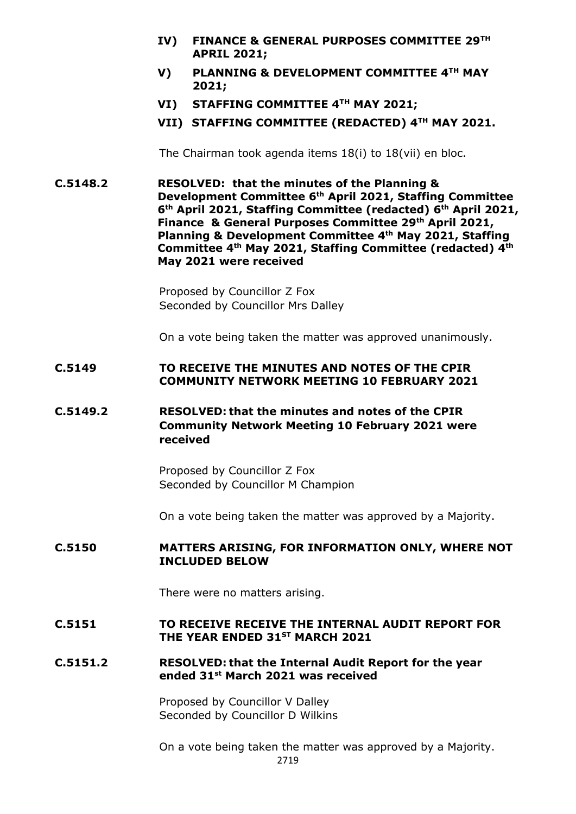- **IV) FINANCE & GENERAL PURPOSES COMMITTEE 29TH APRIL 2021;**
- **V) PLANNING & DEVELOPMENT COMMITTEE 4TH MAY 2021;**
- **VI) STAFFING COMMITTEE 4TH MAY 2021;**
- **VII) STAFFING COMMITTEE (REDACTED) 4TH MAY 2021.**

The Chairman took agenda items 18(i) to 18(vii) en bloc.

**C.5148.2 RESOLVED: that the minutes of the Planning & Development Committee 6th April 2021, Staffing Committee 6 th April 2021, Staffing Committee (redacted) 6th April 2021, Finance & General Purposes Committee 29th April 2021, Planning & Development Committee 4th May 2021, Staffing Committee 4th May 2021, Staffing Committee (redacted) 4th May 2021 were received**

> Proposed by Councillor Z Fox Seconded by Councillor Mrs Dalley

On a vote being taken the matter was approved unanimously.

#### **C.5149 TO RECEIVE THE MINUTES AND NOTES OF THE CPIR COMMUNITY NETWORK MEETING 10 FEBRUARY 2021**

# **C.5149.2 RESOLVED: that the minutes and notes of the CPIR Community Network Meeting 10 February 2021 were received**

Proposed by Councillor Z Fox Seconded by Councillor M Champion

On a vote being taken the matter was approved by a Majority.

### **C.5150 MATTERS ARISING, FOR INFORMATION ONLY, WHERE NOT INCLUDED BELOW**

There were no matters arising.

#### **C.5151 TO RECEIVE RECEIVE THE INTERNAL AUDIT REPORT FOR THE YEAR ENDED 31ST MARCH 2021**

### **C.5151.2 RESOLVED: that the Internal Audit Report for the year ended 31st March 2021 was received**

Proposed by Councillor V Dalley Seconded by Councillor D Wilkins

2719 On a vote being taken the matter was approved by a Majority.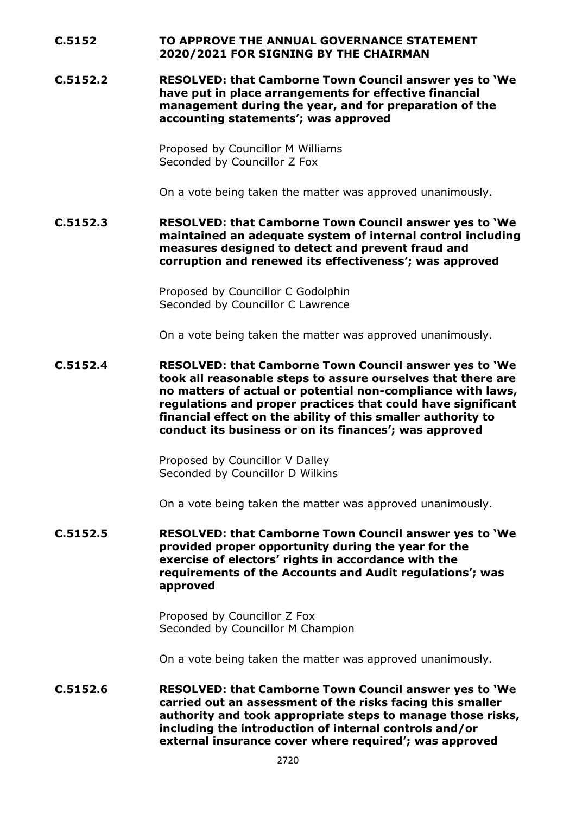## **C.5152 TO APPROVE THE ANNUAL GOVERNANCE STATEMENT 2020/2021 FOR SIGNING BY THE CHAIRMAN**

**C.5152.2 RESOLVED: that Camborne Town Council answer yes to 'We have put in place arrangements for effective financial management during the year, and for preparation of the accounting statements'; was approved**

> Proposed by Councillor M Williams Seconded by Councillor Z Fox

On a vote being taken the matter was approved unanimously.

**C.5152.3 RESOLVED: that Camborne Town Council answer yes to 'We maintained an adequate system of internal control including measures designed to detect and prevent fraud and corruption and renewed its effectiveness'; was approved**

> Proposed by Councillor C Godolphin Seconded by Councillor C Lawrence

On a vote being taken the matter was approved unanimously.

**C.5152.4 RESOLVED: that Camborne Town Council answer yes to 'We took all reasonable steps to assure ourselves that there are no matters of actual or potential non-compliance with laws, regulations and proper practices that could have significant financial effect on the ability of this smaller authority to conduct its business or on its finances'; was approved**

> Proposed by Councillor V Dalley Seconded by Councillor D Wilkins

On a vote being taken the matter was approved unanimously.

**C.5152.5 RESOLVED: that Camborne Town Council answer yes to 'We provided proper opportunity during the year for the exercise of electors' rights in accordance with the requirements of the Accounts and Audit regulations'; was approved**

> Proposed by Councillor Z Fox Seconded by Councillor M Champion

On a vote being taken the matter was approved unanimously.

**C.5152.6 RESOLVED: that Camborne Town Council answer yes to 'We carried out an assessment of the risks facing this smaller authority and took appropriate steps to manage those risks, including the introduction of internal controls and/or external insurance cover where required'; was approved**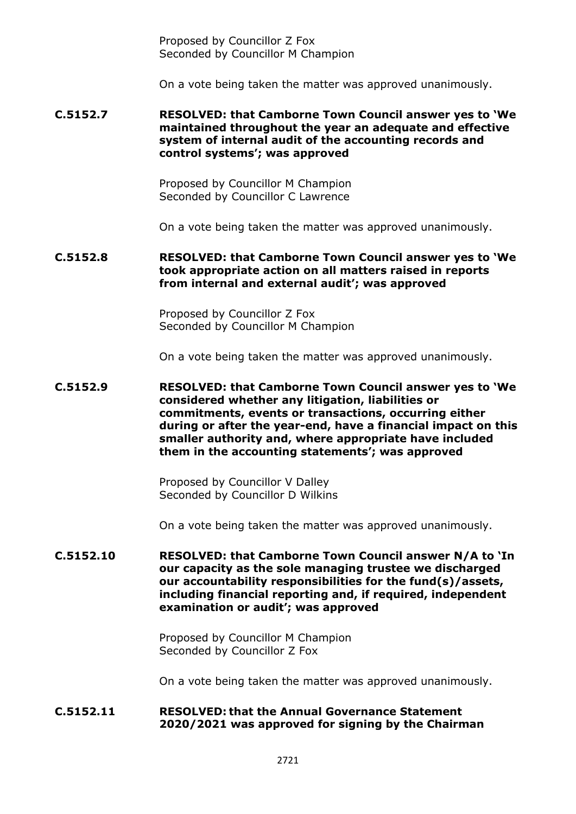Proposed by Councillor Z Fox Seconded by Councillor M Champion

On a vote being taken the matter was approved unanimously.

### **C.5152.7 RESOLVED: that Camborne Town Council answer yes to 'We maintained throughout the year an adequate and effective system of internal audit of the accounting records and control systems'; was approved**

Proposed by Councillor M Champion Seconded by Councillor C Lawrence

On a vote being taken the matter was approved unanimously.

### **C.5152.8 RESOLVED: that Camborne Town Council answer yes to 'We took appropriate action on all matters raised in reports from internal and external audit'; was approved**

Proposed by Councillor Z Fox Seconded by Councillor M Champion

On a vote being taken the matter was approved unanimously.

### **C.5152.9 RESOLVED: that Camborne Town Council answer yes to 'We considered whether any litigation, liabilities or commitments, events or transactions, occurring either during or after the year-end, have a financial impact on this smaller authority and, where appropriate have included them in the accounting statements'; was approved**

Proposed by Councillor V Dalley Seconded by Councillor D Wilkins

On a vote being taken the matter was approved unanimously.

### **C.5152.10 RESOLVED: that Camborne Town Council answer N/A to 'In our capacity as the sole managing trustee we discharged our accountability responsibilities for the fund(s)/assets, including financial reporting and, if required, independent examination or audit'; was approved**

Proposed by Councillor M Champion Seconded by Councillor Z Fox

On a vote being taken the matter was approved unanimously.

### **C.5152.11 RESOLVED: that the Annual Governance Statement 2020/2021 was approved for signing by the Chairman**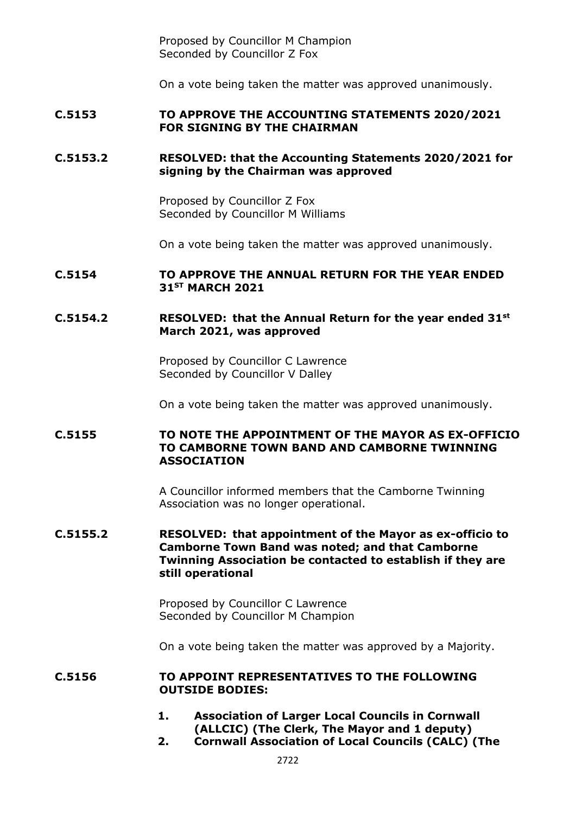Proposed by Councillor M Champion Seconded by Councillor Z Fox

On a vote being taken the matter was approved unanimously.

### **C.5153 TO APPROVE THE ACCOUNTING STATEMENTS 2020/2021 FOR SIGNING BY THE CHAIRMAN**

### **C.5153.2 RESOLVED: that the Accounting Statements 2020/2021 for signing by the Chairman was approved**

Proposed by Councillor Z Fox Seconded by Councillor M Williams

On a vote being taken the matter was approved unanimously.

### **C.5154 TO APPROVE THE ANNUAL RETURN FOR THE YEAR ENDED 31ST MARCH 2021**

### **C.5154.2 RESOLVED: that the Annual Return for the year ended 31st March 2021, was approved**

Proposed by Councillor C Lawrence Seconded by Councillor V Dalley

On a vote being taken the matter was approved unanimously.

## **C.5155 TO NOTE THE APPOINTMENT OF THE MAYOR AS EX-OFFICIO TO CAMBORNE TOWN BAND AND CAMBORNE TWINNING ASSOCIATION**

A Councillor informed members that the Camborne Twinning Association was no longer operational.

### **C.5155.2 RESOLVED: that appointment of the Mayor as ex-officio to Camborne Town Band was noted; and that Camborne Twinning Association be contacted to establish if they are still operational**

Proposed by Councillor C Lawrence Seconded by Councillor M Champion

On a vote being taken the matter was approved by a Majority.

#### **C.5156 TO APPOINT REPRESENTATIVES TO THE FOLLOWING OUTSIDE BODIES:**

- **1. Association of Larger Local Councils in Cornwall (ALLCIC) (The Clerk, The Mayor and 1 deputy)**
- **2. Cornwall Association of Local Councils (CALC) (The**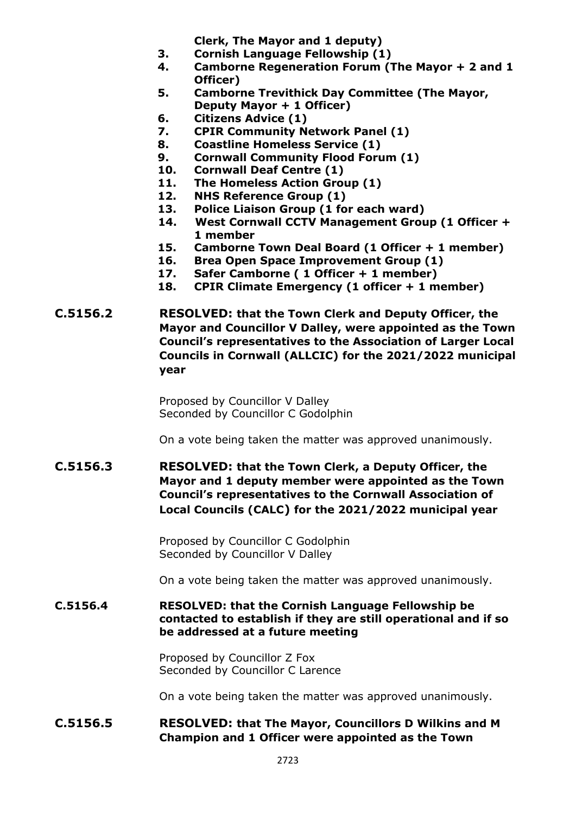**Clerk, The Mayor and 1 deputy)** 

- **3. Cornish Language Fellowship (1)**
- **4. Camborne Regeneration Forum (The Mayor + 2 and 1 Officer)**
- **5. Camborne Trevithick Day Committee (The Mayor, Deputy Mayor + 1 Officer)**
- **6. Citizens Advice (1)**
- **7. CPIR Community Network Panel (1)**
- **8. Coastline Homeless Service (1)**
- **9. Cornwall Community Flood Forum (1)**
- **10. Cornwall Deaf Centre (1)**
- **11. The Homeless Action Group (1)**
- **12. NHS Reference Group (1)**
- **13. Police Liaison Group (1 for each ward)**
- **14. West Cornwall CCTV Management Group (1 Officer + 1 member**
- **15. Camborne Town Deal Board (1 Officer + 1 member)**
- **16. Brea Open Space Improvement Group (1)**
- **17. Safer Camborne ( 1 Officer + 1 member)**
- **18. CPIR Climate Emergency (1 officer + 1 member)**
- **C.5156.2 RESOLVED: that the Town Clerk and Deputy Officer, the Mayor and Councillor V Dalley, were appointed as the Town Council's representatives to the Association of Larger Local Councils in Cornwall (ALLCIC) for the 2021/2022 municipal year**

Proposed by Councillor V Dalley Seconded by Councillor C Godolphin

On a vote being taken the matter was approved unanimously.

**C.5156.3 RESOLVED: that the Town Clerk, a Deputy Officer, the Mayor and 1 deputy member were appointed as the Town Council's representatives to the Cornwall Association of Local Councils (CALC) for the 2021/2022 municipal year**

> Proposed by Councillor C Godolphin Seconded by Councillor V Dalley

On a vote being taken the matter was approved unanimously.

## **C.5156.4 RESOLVED: that the Cornish Language Fellowship be contacted to establish if they are still operational and if so be addressed at a future meeting**

Proposed by Councillor Z Fox Seconded by Councillor C Larence

On a vote being taken the matter was approved unanimously.

# **C.5156.5 RESOLVED: that The Mayor, Councillors D Wilkins and M Champion and 1 Officer were appointed as the Town**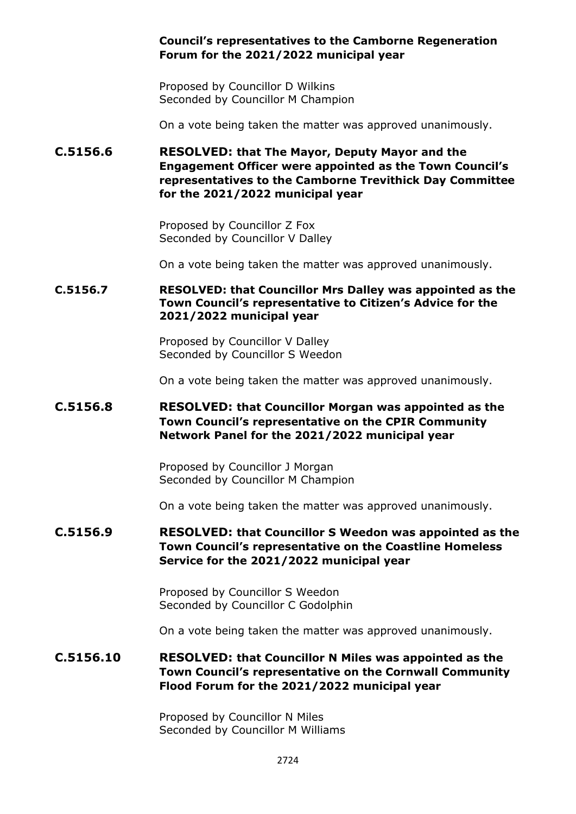## **Council's representatives to the Camborne Regeneration Forum for the 2021/2022 municipal year**

Proposed by Councillor D Wilkins Seconded by Councillor M Champion

On a vote being taken the matter was approved unanimously.

**C.5156.6 RESOLVED: that The Mayor, Deputy Mayor and the Engagement Officer were appointed as the Town Council's representatives to the Camborne Trevithick Day Committee for the 2021/2022 municipal year**

> Proposed by Councillor Z Fox Seconded by Councillor V Dalley

On a vote being taken the matter was approved unanimously.

### **C.5156.7 RESOLVED: that Councillor Mrs Dalley was appointed as the Town Council's representative to Citizen's Advice for the 2021/2022 municipal year**

Proposed by Councillor V Dalley Seconded by Councillor S Weedon

On a vote being taken the matter was approved unanimously.

# **C.5156.8 RESOLVED: that Councillor Morgan was appointed as the Town Council's representative on the CPIR Community Network Panel for the 2021/2022 municipal year**

Proposed by Councillor J Morgan Seconded by Councillor M Champion

On a vote being taken the matter was approved unanimously.

# **C.5156.9 RESOLVED: that Councillor S Weedon was appointed as the Town Council's representative on the Coastline Homeless Service for the 2021/2022 municipal year**

Proposed by Councillor S Weedon Seconded by Councillor C Godolphin

On a vote being taken the matter was approved unanimously.

# **C.5156.10 RESOLVED: that Councillor N Miles was appointed as the Town Council's representative on the Cornwall Community Flood Forum for the 2021/2022 municipal year**

Proposed by Councillor N Miles Seconded by Councillor M Williams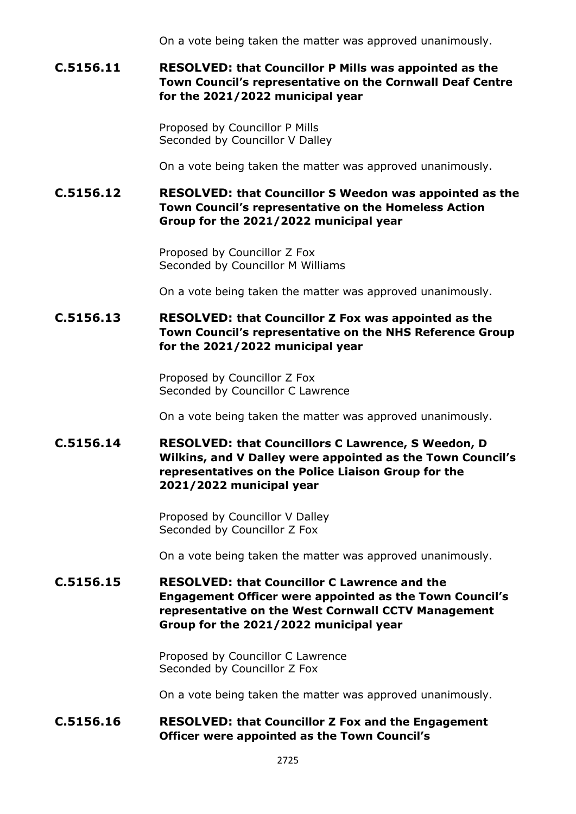On a vote being taken the matter was approved unanimously.

# **C.5156.11 RESOLVED: that Councillor P Mills was appointed as the Town Council's representative on the Cornwall Deaf Centre for the 2021/2022 municipal year**

Proposed by Councillor P Mills Seconded by Councillor V Dalley

On a vote being taken the matter was approved unanimously.

# **C.5156.12 RESOLVED: that Councillor S Weedon was appointed as the Town Council's representative on the Homeless Action Group for the 2021/2022 municipal year**

Proposed by Councillor Z Fox Seconded by Councillor M Williams

On a vote being taken the matter was approved unanimously.

# **C.5156.13 RESOLVED: that Councillor Z Fox was appointed as the Town Council's representative on the NHS Reference Group for the 2021/2022 municipal year**

Proposed by Councillor Z Fox Seconded by Councillor C Lawrence

On a vote being taken the matter was approved unanimously.

# **C.5156.14 RESOLVED: that Councillors C Lawrence, S Weedon, D Wilkins, and V Dalley were appointed as the Town Council's representatives on the Police Liaison Group for the 2021/2022 municipal year**

Proposed by Councillor V Dalley Seconded by Councillor Z Fox

On a vote being taken the matter was approved unanimously.

# **C.5156.15 RESOLVED: that Councillor C Lawrence and the Engagement Officer were appointed as the Town Council's representative on the West Cornwall CCTV Management Group for the 2021/2022 municipal year**

Proposed by Councillor C Lawrence Seconded by Councillor Z Fox

On a vote being taken the matter was approved unanimously.

# **C.5156.16 RESOLVED: that Councillor Z Fox and the Engagement Officer were appointed as the Town Council's**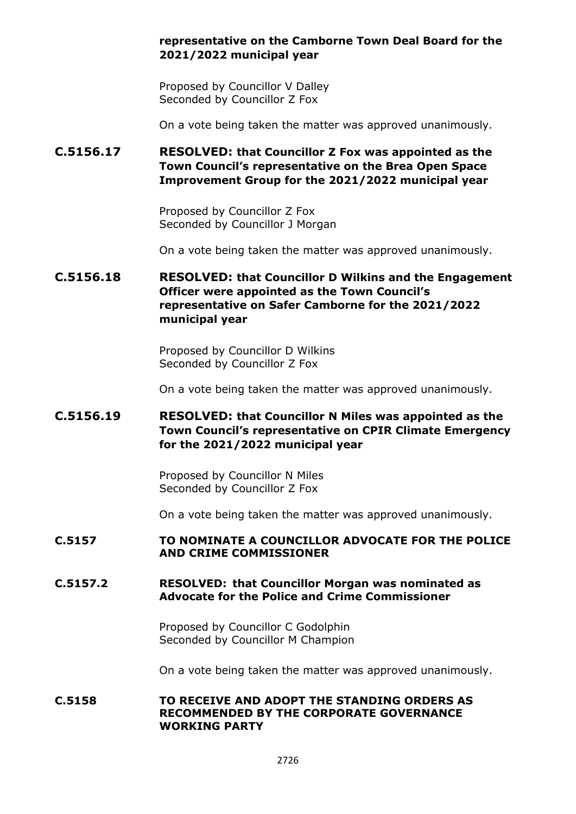## **representative on the Camborne Town Deal Board for the 2021/2022 municipal year**

Proposed by Councillor V Dalley Seconded by Councillor Z Fox

On a vote being taken the matter was approved unanimously.

**C.5156.17 RESOLVED: that Councillor Z Fox was appointed as the Town Council's representative on the Brea Open Space Improvement Group for the 2021/2022 municipal year**

> Proposed by Councillor Z Fox Seconded by Councillor J Morgan

On a vote being taken the matter was approved unanimously.

# **C.5156.18 RESOLVED: that Councillor D Wilkins and the Engagement Officer were appointed as the Town Council's representative on Safer Camborne for the 2021/2022 municipal year**

Proposed by Councillor D Wilkins Seconded by Councillor Z Fox

On a vote being taken the matter was approved unanimously.

# **C.5156.19 RESOLVED: that Councillor N Miles was appointed as the Town Council's representative on CPIR Climate Emergency for the 2021/2022 municipal year**

Proposed by Councillor N Miles Seconded by Councillor Z Fox

On a vote being taken the matter was approved unanimously.

### **C.5157 TO NOMINATE A COUNCILLOR ADVOCATE FOR THE POLICE AND CRIME COMMISSIONER**

### **C.5157.2 RESOLVED: that Councillor Morgan was nominated as Advocate for the Police and Crime Commissioner**

Proposed by Councillor C Godolphin Seconded by Councillor M Champion

On a vote being taken the matter was approved unanimously.

## **C.5158 TO RECEIVE AND ADOPT THE STANDING ORDERS AS RECOMMENDED BY THE CORPORATE GOVERNANCE WORKING PARTY**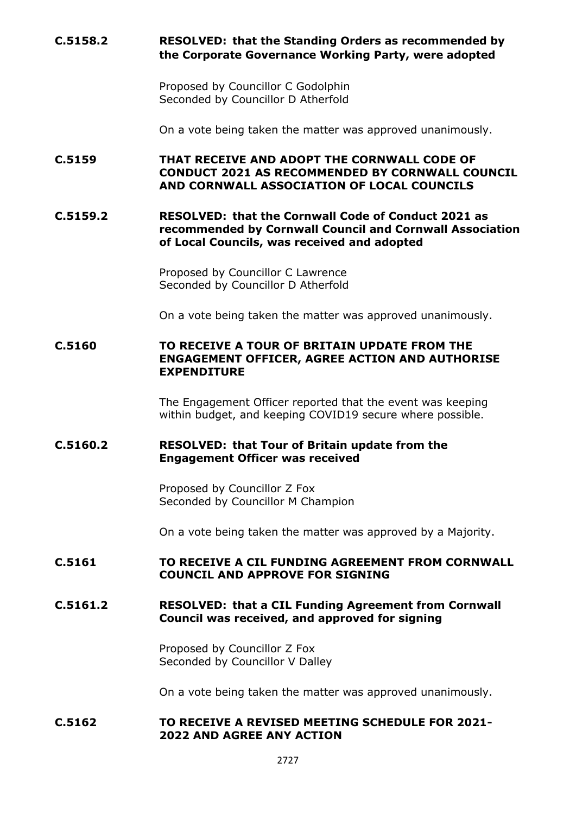# **C.5158.2 RESOLVED: that the Standing Orders as recommended by the Corporate Governance Working Party, were adopted**

Proposed by Councillor C Godolphin Seconded by Councillor D Atherfold

On a vote being taken the matter was approved unanimously.

**C.5159 THAT RECEIVE AND ADOPT THE CORNWALL CODE OF CONDUCT 2021 AS RECOMMENDED BY CORNWALL COUNCIL AND CORNWALL ASSOCIATION OF LOCAL COUNCILS**

**C.5159.2 RESOLVED: that the Cornwall Code of Conduct 2021 as recommended by Cornwall Council and Cornwall Association of Local Councils, was received and adopted**

> Proposed by Councillor C Lawrence Seconded by Councillor D Atherfold

On a vote being taken the matter was approved unanimously.

### **C.5160 TO RECEIVE A TOUR OF BRITAIN UPDATE FROM THE ENGAGEMENT OFFICER, AGREE ACTION AND AUTHORISE EXPENDITURE**

The Engagement Officer reported that the event was keeping within budget, and keeping COVID19 secure where possible.

### **C.5160.2 RESOLVED: that Tour of Britain update from the Engagement Officer was received**

Proposed by Councillor Z Fox Seconded by Councillor M Champion

On a vote being taken the matter was approved by a Majority.

### **C.5161 TO RECEIVE A CIL FUNDING AGREEMENT FROM CORNWALL COUNCIL AND APPROVE FOR SIGNING**

### **C.5161.2 RESOLVED: that a CIL Funding Agreement from Cornwall Council was received, and approved for signing**

Proposed by Councillor Z Fox Seconded by Councillor V Dalley

On a vote being taken the matter was approved unanimously.

#### **C.5162 TO RECEIVE A REVISED MEETING SCHEDULE FOR 2021- 2022 AND AGREE ANY ACTION**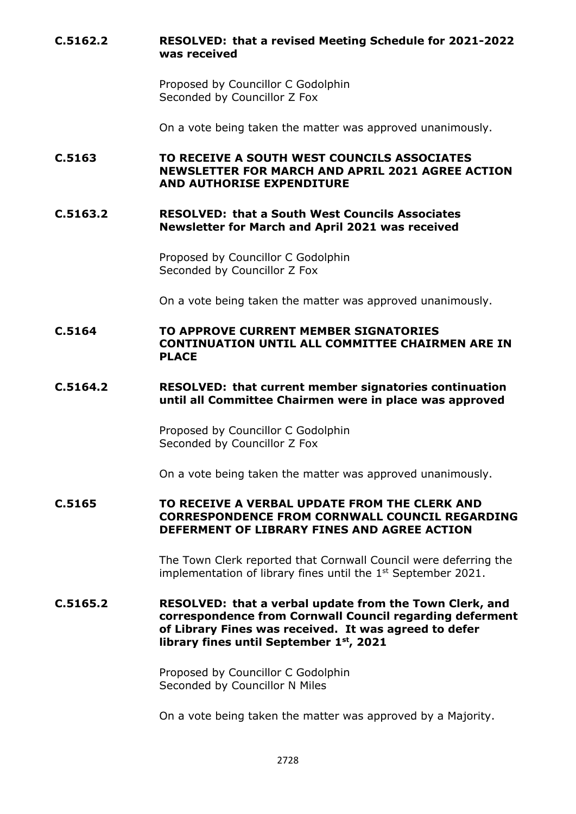# **C.5162.2 RESOLVED: that a revised Meeting Schedule for 2021-2022 was received**

Proposed by Councillor C Godolphin Seconded by Councillor Z Fox

On a vote being taken the matter was approved unanimously.

**C.5163 TO RECEIVE A SOUTH WEST COUNCILS ASSOCIATES NEWSLETTER FOR MARCH AND APRIL 2021 AGREE ACTION AND AUTHORISE EXPENDITURE**

### **C.5163.2 RESOLVED: that a South West Councils Associates Newsletter for March and April 2021 was received**

Proposed by Councillor C Godolphin Seconded by Councillor Z Fox

On a vote being taken the matter was approved unanimously.

# **C.5164 TO APPROVE CURRENT MEMBER SIGNATORIES CONTINUATION UNTIL ALL COMMITTEE CHAIRMEN ARE IN PLACE**

### **C.5164.2 RESOLVED: that current member signatories continuation until all Committee Chairmen were in place was approved**

Proposed by Councillor C Godolphin Seconded by Councillor Z Fox

On a vote being taken the matter was approved unanimously.

### **C.5165 TO RECEIVE A VERBAL UPDATE FROM THE CLERK AND CORRESPONDENCE FROM CORNWALL COUNCIL REGARDING DEFERMENT OF LIBRARY FINES AND AGREE ACTION**

The Town Clerk reported that Cornwall Council were deferring the implementation of library fines until the  $1<sup>st</sup>$  September 2021.

### **C.5165.2 RESOLVED: that a verbal update from the Town Clerk, and correspondence from Cornwall Council regarding deferment of Library Fines was received. It was agreed to defer library fines until September 1st, 2021**

Proposed by Councillor C Godolphin Seconded by Councillor N Miles

On a vote being taken the matter was approved by a Majority.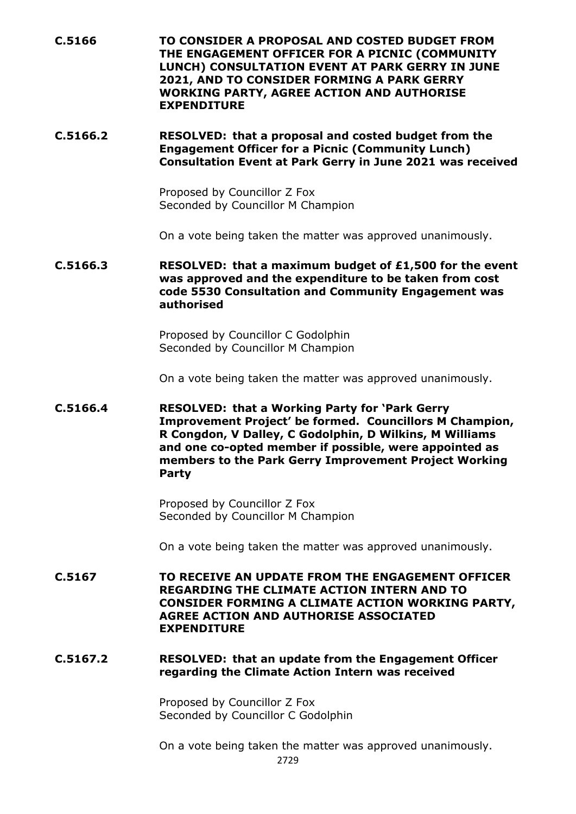**C.5166 TO CONSIDER A PROPOSAL AND COSTED BUDGET FROM THE ENGAGEMENT OFFICER FOR A PICNIC (COMMUNITY LUNCH) CONSULTATION EVENT AT PARK GERRY IN JUNE 2021, AND TO CONSIDER FORMING A PARK GERRY WORKING PARTY, AGREE ACTION AND AUTHORISE EXPENDITURE**

# **C.5166.2 RESOLVED: that a proposal and costed budget from the Engagement Officer for a Picnic (Community Lunch) Consultation Event at Park Gerry in June 2021 was received**

Proposed by Councillor Z Fox Seconded by Councillor M Champion

On a vote being taken the matter was approved unanimously.

**C.5166.3 RESOLVED: that a maximum budget of £1,500 for the event was approved and the expenditure to be taken from cost code 5530 Consultation and Community Engagement was authorised**

> Proposed by Councillor C Godolphin Seconded by Councillor M Champion

On a vote being taken the matter was approved unanimously.

**C.5166.4 RESOLVED: that a Working Party for 'Park Gerry Improvement Project' be formed. Councillors M Champion, R Congdon, V Dalley, C Godolphin, D Wilkins, M Williams and one co-opted member if possible, were appointed as members to the Park Gerry Improvement Project Working Party**

> Proposed by Councillor Z Fox Seconded by Councillor M Champion

On a vote being taken the matter was approved unanimously.

**C.5167 TO RECEIVE AN UPDATE FROM THE ENGAGEMENT OFFICER REGARDING THE CLIMATE ACTION INTERN AND TO CONSIDER FORMING A CLIMATE ACTION WORKING PARTY, AGREE ACTION AND AUTHORISE ASSOCIATED EXPENDITURE**

### **C.5167.2 RESOLVED: that an update from the Engagement Officer regarding the Climate Action Intern was received**

Proposed by Councillor Z Fox Seconded by Councillor C Godolphin

On a vote being taken the matter was approved unanimously.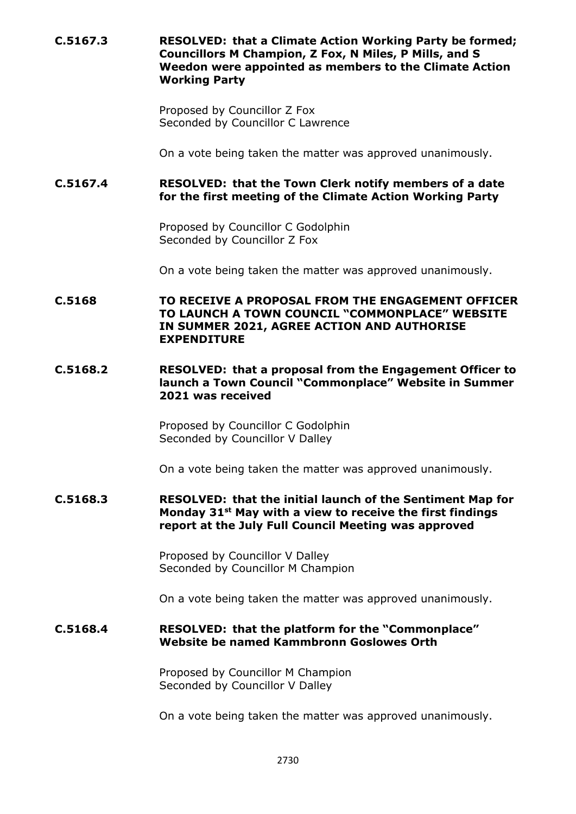**C.5167.3 RESOLVED: that a Climate Action Working Party be formed; Councillors M Champion, Z Fox, N Miles, P Mills, and S Weedon were appointed as members to the Climate Action Working Party**

> Proposed by Councillor Z Fox Seconded by Councillor C Lawrence

On a vote being taken the matter was approved unanimously.

# **C.5167.4 RESOLVED: that the Town Clerk notify members of a date for the first meeting of the Climate Action Working Party**

Proposed by Councillor C Godolphin Seconded by Councillor Z Fox

On a vote being taken the matter was approved unanimously.

**C.5168 TO RECEIVE A PROPOSAL FROM THE ENGAGEMENT OFFICER TO LAUNCH A TOWN COUNCIL "COMMONPLACE" WEBSITE IN SUMMER 2021, AGREE ACTION AND AUTHORISE EXPENDITURE**

### **C.5168.2 RESOLVED: that a proposal from the Engagement Officer to launch a Town Council "Commonplace" Website in Summer 2021 was received**

Proposed by Councillor C Godolphin Seconded by Councillor V Dalley

On a vote being taken the matter was approved unanimously.

### **C.5168.3 RESOLVED: that the initial launch of the Sentiment Map for Monday 31st May with a view to receive the first findings report at the July Full Council Meeting was approved**

Proposed by Councillor V Dalley Seconded by Councillor M Champion

On a vote being taken the matter was approved unanimously.

### **C.5168.4 RESOLVED: that the platform for the "Commonplace" Website be named Kammbronn Goslowes Orth**

Proposed by Councillor M Champion Seconded by Councillor V Dalley

On a vote being taken the matter was approved unanimously.